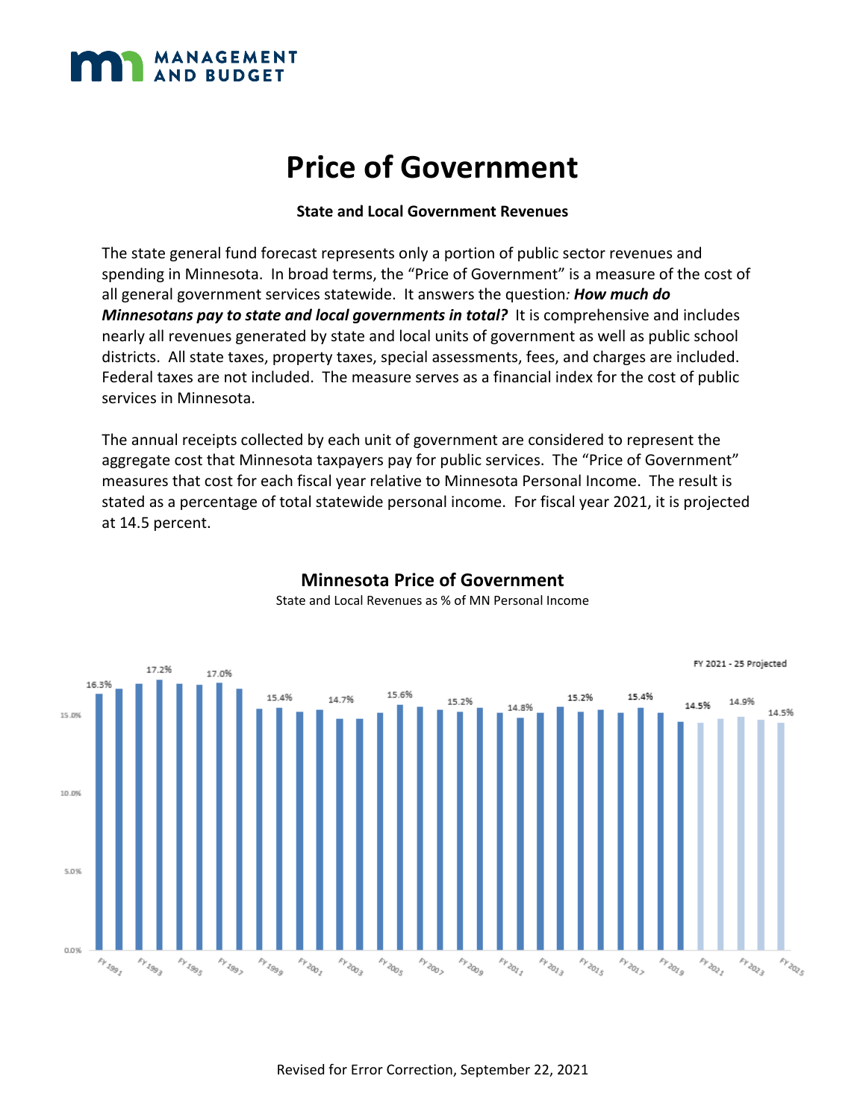

#### **State and Local Government Revenues**

The state general fund forecast represents only a portion of public sector revenues and spending in Minnesota. In broad terms, the "Price of Government" is a measure of the cost of all general government services statewide. It answers the question*: How much do Minnesotans pay to state and local governments in total?* It is comprehensive and includes nearly all revenues generated by state and local units of government as well as public school districts. All state taxes, property taxes, special assessments, fees, and charges are included. Federal taxes are not included. The measure serves as a financial index for the cost of public services in Minnesota.

The annual receipts collected by each unit of government are considered to represent the aggregate cost that Minnesota taxpayers pay for public services. The "Price of Government" measures that cost for each fiscal year relative to Minnesota Personal Income. The result is stated as a percentage of total statewide personal income. For fiscal year 2021, it is projected at 14.5 percent.



#### **Minnesota Price of Government**  State and Local Revenues as % of MN Personal Income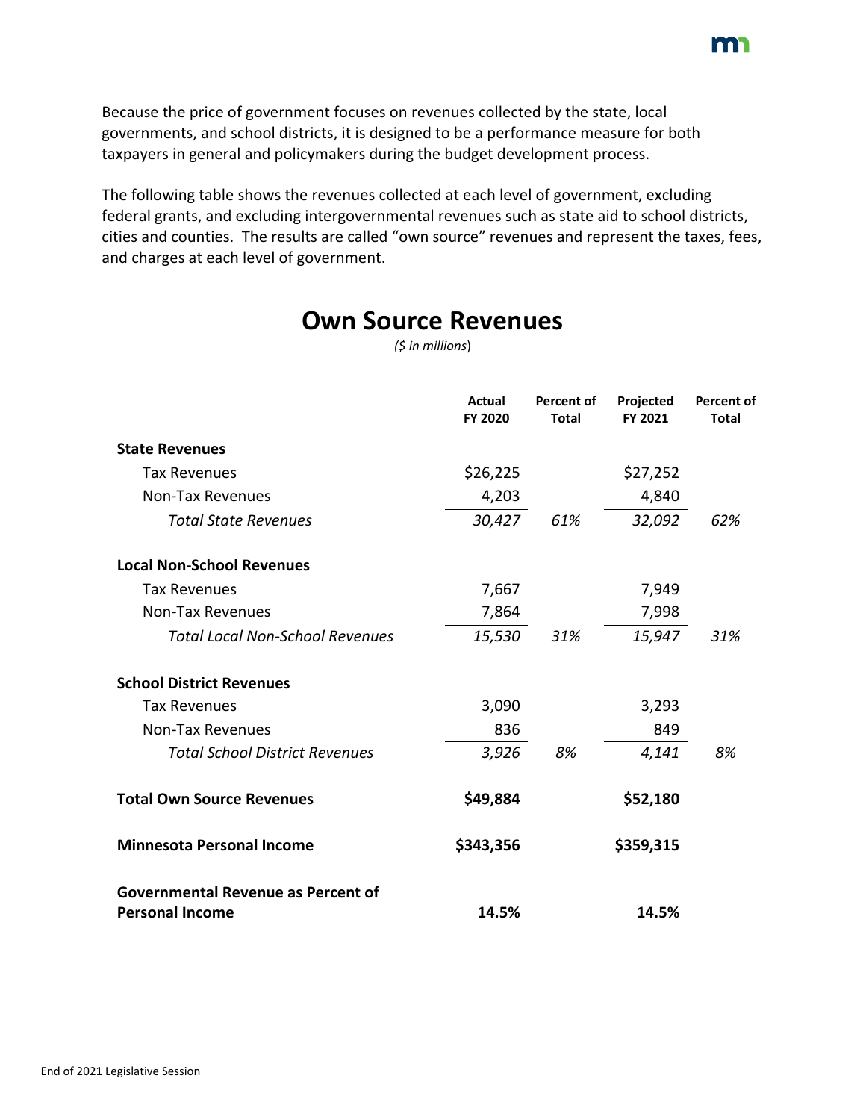Because the price of government focuses on revenues collected by the state, local governments, and school districts, it is designed to be a performance measure for both taxpayers in general and policymakers during the budget development process.

The following table shows the revenues collected at each level of government, excluding federal grants, and excluding intergovernmental revenues such as state aid to school districts, cities and counties. The results are called "own source" revenues and represent the taxes, fees, and charges at each level of government.

|                 | <b>Own Source Revenues</b> |
|-----------------|----------------------------|
| (5 in millions) |                            |

|                                                                     | Actual<br>FY 2020 | <b>Percent of</b><br><b>Total</b> | Projected<br>FY 2021 | <b>Percent of</b><br><b>Total</b> |
|---------------------------------------------------------------------|-------------------|-----------------------------------|----------------------|-----------------------------------|
| <b>State Revenues</b>                                               |                   |                                   |                      |                                   |
| <b>Tax Revenues</b>                                                 | \$26,225          |                                   | \$27,252             |                                   |
| <b>Non-Tax Revenues</b>                                             | 4,203             |                                   | 4,840                |                                   |
| <b>Total State Revenues</b>                                         | 30,427            | 61%                               | 32,092               | 62%                               |
| <b>Local Non-School Revenues</b>                                    |                   |                                   |                      |                                   |
| <b>Tax Revenues</b>                                                 | 7,667             |                                   | 7,949                |                                   |
| <b>Non-Tax Revenues</b>                                             | 7,864             |                                   | 7,998                |                                   |
| <b>Total Local Non-School Revenues</b>                              | 15,530            | 31%                               | 15,947               | 31%                               |
| <b>School District Revenues</b>                                     |                   |                                   |                      |                                   |
| <b>Tax Revenues</b>                                                 | 3,090             |                                   | 3,293                |                                   |
| <b>Non-Tax Revenues</b>                                             | 836               |                                   | 849                  |                                   |
| <b>Total School District Revenues</b>                               | 3,926             | 8%                                | 4,141                | 8%                                |
| <b>Total Own Source Revenues</b>                                    | \$49,884          |                                   | \$52,180             |                                   |
| <b>Minnesota Personal Income</b>                                    | \$343,356         |                                   | \$359,315            |                                   |
| <b>Governmental Revenue as Percent of</b><br><b>Personal Income</b> | 14.5%             |                                   | 14.5%                |                                   |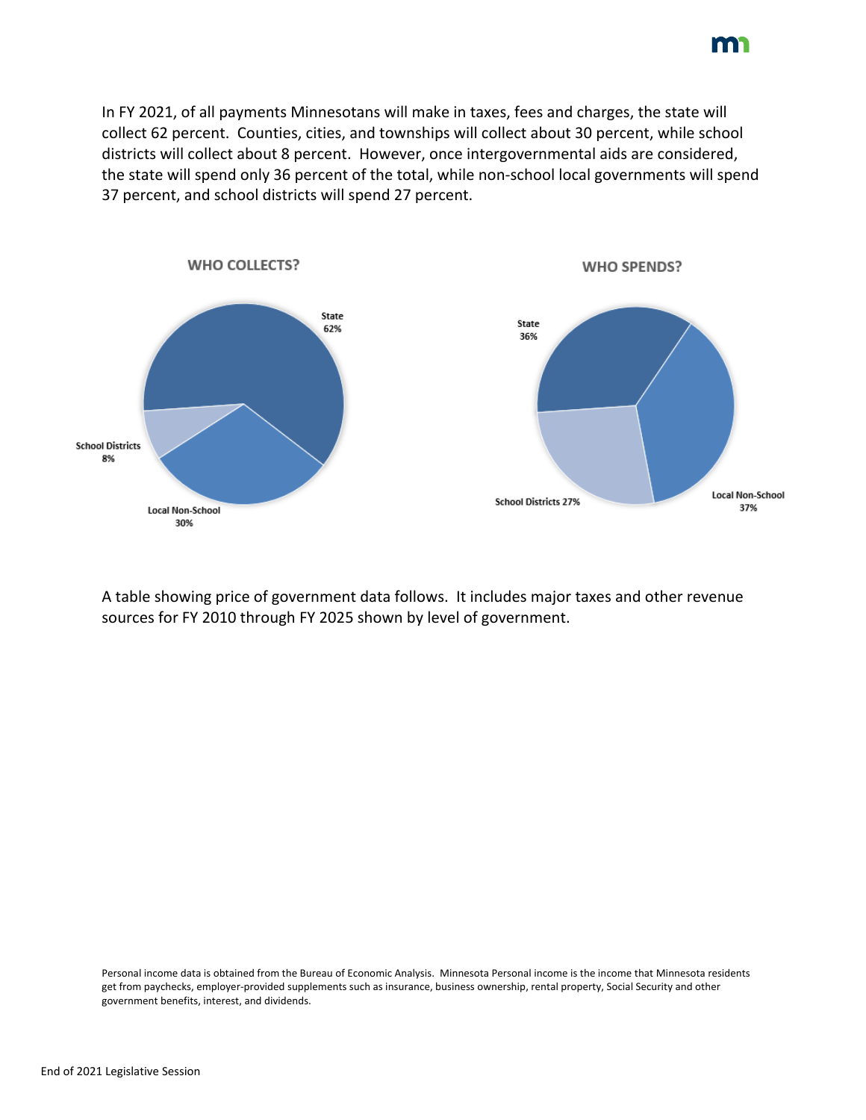In FY 2021, of all payments Minnesotans will make in taxes, fees and charges, the state will collect 62 percent. Counties, cities, and townships will collect about 30 percent, while school districts will collect about 8 percent. However, once intergovernmental aids are considered, the state will spend only 36 percent of the total, while non-school local governments will spend 37 percent, and school districts will spend 27 percent.



A table showing price of government data follows. It includes major taxes and other revenue sources for FY 2010 through FY 2025 shown by level of government.

Personal income data is obtained from the Bureau of Economic Analysis. Minnesota Personal income is the income that Minnesota residents get from paychecks, employer-provided supplements such as insurance, business ownership, rental property, Social Security and other government benefits, interest, and dividends.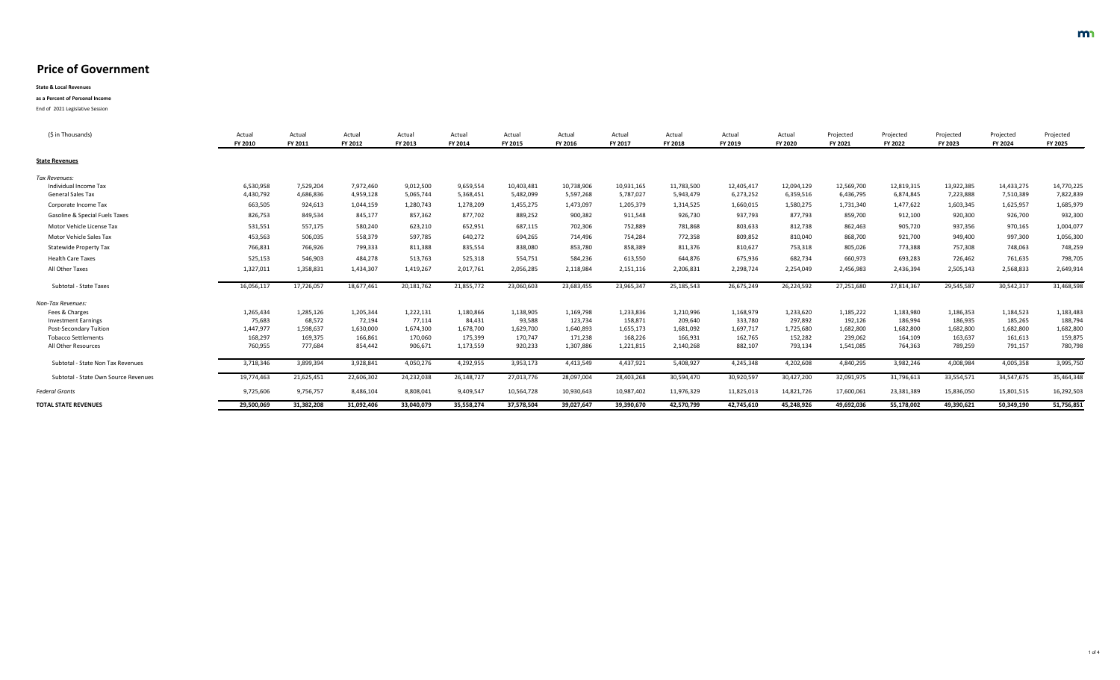| (\$ in Thousands)                         | Actua<br><b>FY 2010</b> | Actual<br><b>FY 2011</b> | Actual<br>FY 2012 | Actual<br>FY 2013 | Actual<br><b>FY 2014</b> | Actual<br><b>FY 2015</b> | Actual<br>FY 2016 | Actual<br><b>FY 2017</b> | Actual<br><b>FY 2018</b> | Actual<br><b>FY 2019</b> | Actual<br><b>FY 2020</b> | Projected<br>FY 2021 | Projected<br><b>FY 2022</b> | Projected<br><b>FY 2023</b> | Projected<br><b>FY 2024</b> | Projected<br><b>FY 2025</b> |
|-------------------------------------------|-------------------------|--------------------------|-------------------|-------------------|--------------------------|--------------------------|-------------------|--------------------------|--------------------------|--------------------------|--------------------------|----------------------|-----------------------------|-----------------------------|-----------------------------|-----------------------------|
| <b>State Revenues</b>                     |                         |                          |                   |                   |                          |                          |                   |                          |                          |                          |                          |                      |                             |                             |                             |                             |
| Tax Revenues:                             |                         |                          |                   |                   |                          |                          |                   |                          |                          |                          |                          |                      |                             |                             |                             |                             |
| Individual Income Tax                     | 6,530,958               | 7,529,204                | 7,972,460         | 9,012,500         | 9,659,554                | 10,403,481               | 10,738,906        | 10,931,165               | 11,783,500               | 12,405,417               | 12,094,129               | 12,569,700           | 12,819,315                  | 13,922,385                  | 14,433,275                  | 14,770,225                  |
| <b>General Sales Tax</b>                  | 4,430,792               | 4,686,836                | 4,959,128         | 5,065,744         | 5,368,451                | 5,482,099                | 5,597,268         | 5,787,027                | 5,943,479                | 6,273,252                | 6,359,516                | 6,436,795            | 6,874,845                   | 7,223,888                   | 7,510,389                   | 7,822,839                   |
| Corporate Income Tax                      | 663,505                 | 924,613                  | 1,044,159         | 1,280,743         | 1,278,209                | 1,455,275                | 1,473,097         | 1,205,379                | 1,314,525                | 1,660,015                | 1,580,275                | 1,731,340            | 1,477,622                   | 1,603,345                   | 1,625,957                   | 1,685,979                   |
| <b>Gasoline &amp; Special Fuels Taxes</b> | 826,753                 | 849,534                  | 845,177           | 857,362           | 877,702                  | 889,252                  | 900,382           | 911,548                  | 926,730                  | 937,793                  | 877,793                  | 859,700              | 912,100                     | 920,300                     | 926,700                     | 932,300                     |
| Motor Vehicle License Tax                 | 531,551                 | 557,175                  | 580,240           | 623,210           | 652,951                  | 687,115                  | 702,306           | 752,889                  | 781,868                  | 803,633                  | 812,738                  | 862,463              | 905,720                     | 937,356                     | 970,165                     | 1,004,077                   |
| <b>Motor Vehicle Sales Tax</b>            | 453,563                 | 506,035                  | 558,379           | 597,785           | 640,272                  | 694,265                  | 714,496           | 754,284                  | 772,358                  | 809,852                  | 810,040                  | 868,700              | 921,700                     | 949,400                     | 997,300                     | 1,056,300                   |
| <b>Statewide Property Tax</b>             | 766,831                 | 766,926                  | 799,333           | 811,388           | 835,554                  | 838,080                  | 853,780           | 858,389                  | 811,376                  | 810,627                  | 753,318                  | 805,026              | 773,388                     | 757,308                     | 748,063                     | 748,259                     |
| <b>Health Care Taxes</b>                  | 525,153                 | 546,903                  | 484,278           | 513,763           | 525,318                  | 554,751                  | 584,236           | 613,550                  | 644,876                  | 675,936                  | 682,734                  | 660,973              | 693,283                     | 726,462                     | 761,635                     | 798,705                     |
| All Other Taxes                           | 1,327,011               | 1,358,831                | 1,434,307         | 1,419,267         | 2,017,761                | 2,056,285                | 2,118,984         | 2,151,116                | 2,206,831                | 2,298,724                | 2,254,049                | 2,456,983            | 2,436,394                   | 2,505,143                   | 2,568,833                   | 2,649,914                   |
| <b>Subtotal - State Taxes</b>             | 16,056,117              | 17,726,057               | 18,677,461        | 20,181,762        | 21,855,772               | 23,060,603               | 23,683,455        | 23,965,347               | 25, 185, 543             | 26,675,249               | 26,224,592               | 27,251,680           | 27,814,367                  | 29,545,587                  | 30,542,317                  | 31,468,598                  |
| <b>Non-Tax Revenues:</b>                  |                         |                          |                   |                   |                          |                          |                   |                          |                          |                          |                          |                      |                             |                             |                             |                             |
| Fees & Charges                            | 1,265,434               | 1,285,126                | 1,205,344         | 1,222,131         | 1,180,866                | 1,138,905                | 1,169,798         | 1,233,836                | 1,210,996                | 1,168,979                | 1,233,620                | 1,185,222            | 1,183,980                   | 1,186,353                   | 1,184,523                   | 1,183,483                   |
| <b>Investment Earnings</b>                | 75,683                  | 68,572                   | 72,194            | 77,114            | 84,431                   | 93,588                   | 123,734           | 158,871                  | 209,640                  | 333,780                  | 297,892                  | 192,126              | 186,994                     | 186,935                     | 185,265                     | 188,794                     |
| <b>Post-Secondary Tuition</b>             | 1,447,977               | 1,598,637                | 1,630,000         | 1,674,300         | 1,678,700                | 1,629,700                | 1,640,893         | 1,655,173                | 1,681,092                | 1,697,717                | 1,725,680                | 1,682,800            | 1,682,800                   | 1,682,800                   | 1,682,800                   | 1,682,800                   |
| <b>Tobacco Settlements</b>                | 168,297                 | 169,375                  | 166,861           | 170,060           | 175,399                  | 170,747                  | 171,238           | 168,226                  | 166,931                  | 162,765                  | 152,282                  | 239,062              | 164,109                     | 163,637                     | 161,613                     | 159,875                     |
| All Other Resources                       | 760,955                 | 777,684                  | 854,442           | 906,671           | 1,173,559                | 920,233                  | 1,307,886         | 1,221,815                | 2,140,268                | 882,107                  | 793,134                  | 1,541,085            | 764,363                     | 789,259                     | 791,157                     | 780,798                     |
| <b>Subtotal - State Non Tax Revenues</b>  | 3,718,346               | 3,899,394                | 3,928,841         | 4,050,276         | 4,292,955                | 3,953,173                | 4,413,549         | 4,437,921                | 5,408,927                | 4,245,348                | 4,202,608                | 4,840,295            | 3,982,246                   | 4,008,984                   | 4,005,358                   | 3,995,750                   |
| Subtotal - State Own Source Revenues      | 19,774,463              | 21,625,451               | 22,606,302        | 24,232,038        | 26,148,727               | 27,013,776               | 28,097,004        | 28,403,268               | 30,594,470               | 30,920,597               | 30,427,200               | 32,091,975           | 31,796,613                  | 33,554,571                  | 34,547,675                  | 35,464,348                  |
| <b>Federal Grants</b>                     | 9,725,606               | 9,756,757                | 8,486,104         | 8,808,041         | 9,409,547                | 10,564,728               | 10,930,643        | 10,987,402               | 11,976,329               | 11,825,013               | 14,821,726               | 17,600,061           | 23,381,389                  | 15,836,050                  | 15,801,515                  | 16,292,503                  |
| <b>TOTAL STATE REVENUES</b>               | 29,500,069              | 31,382,208               | 31,092,406        | 33,040,079        | 35,558,274               | 37,578,504               | 39,027,647        | 39,390,670               | 42,570,799               | 42,745,610               | 45,248,926               | 49,692,036           | 55,178,002                  | 49,390,621                  | 50,349,190                  | 51,756,851                  |

**State & Local Revenues**

**as a Percent of Personal Income**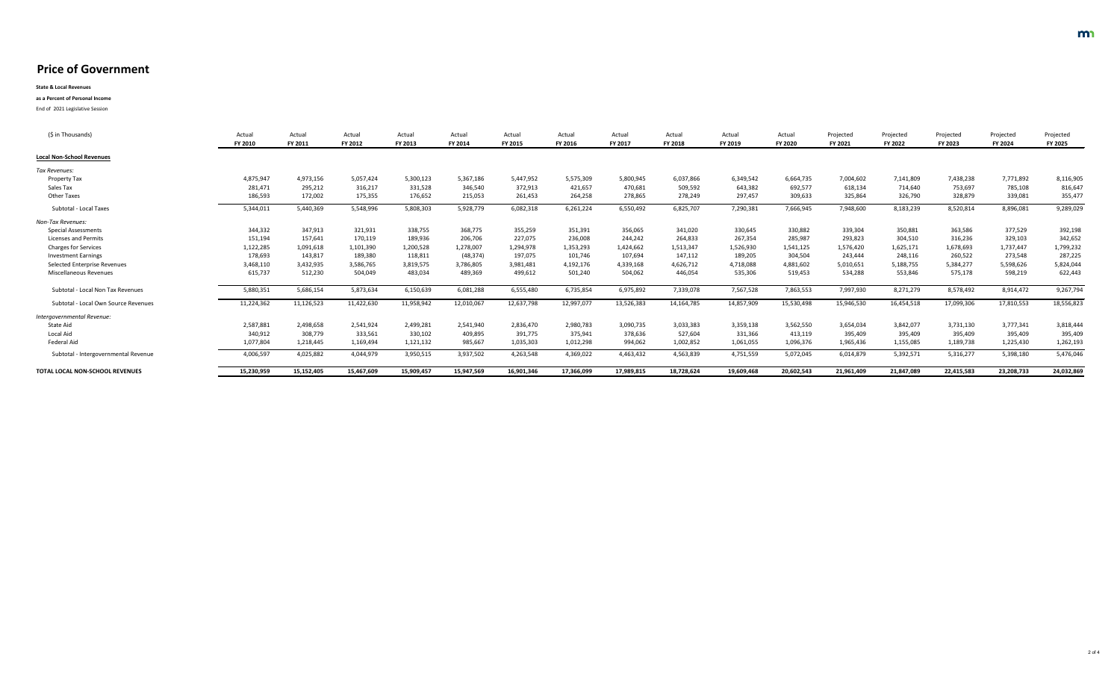**State & Local Revenues**

#### **as a Percent of Personal Income**

| (\$ in Thousands)                        | Actua<br><b>FY 2010</b> | Actual<br><b>FY 2011</b> | Actual<br>FY 2012 | Actual<br>FY 2013 | Actual<br>FY 2014 | Actual<br>FY 2015 | Actual<br>FY 2016 | Actual<br>FY 2017 | Actual<br><b>FY 2018</b> | Actual<br>FY 2019 | Actual<br><b>FY 2020</b> | Projected<br><b>FY 2021</b> | Projected<br><b>FY 2022</b> | Projected<br><b>FY 2023</b> | Projected<br>FY 2024 | Projected<br><b>FY 2025</b> |
|------------------------------------------|-------------------------|--------------------------|-------------------|-------------------|-------------------|-------------------|-------------------|-------------------|--------------------------|-------------------|--------------------------|-----------------------------|-----------------------------|-----------------------------|----------------------|-----------------------------|
| <b>Local Non-School Revenues</b>         |                         |                          |                   |                   |                   |                   |                   |                   |                          |                   |                          |                             |                             |                             |                      |                             |
| Tax Revenues:                            |                         |                          |                   |                   |                   |                   |                   |                   |                          |                   |                          |                             |                             |                             |                      |                             |
| <b>Property Tax</b>                      | 4,875,947               | 4,973,156                | 5,057,424         | 5,300,123         | 5,367,186         | 5,447,952         | 5,575,309         | 5,800,945         | 6,037,866                | 6,349,542         | 6,664,735                | 7,004,602                   | 7,141,809                   | 7,438,238                   | 7,771,892            | 8,116,905                   |
| Sales Tax                                | 281,471                 | 295,212                  | 316,217           | 331,528           | 346,540           | 372,913           | 421,657           | 470,681           | 509,592                  | 643,382           | 692,577                  | 618,134                     | 714,640                     | 753,697                     | 785,108              | 816,647                     |
| <b>Other Taxes</b>                       | 186,593                 | 172,002                  | 175,355           | 176,652           | 215,053           | 261,453           | 264,258           | 278,865           | 278,249                  | 297,457           | 309,633                  | 325,864                     | 326,790                     | 328,879                     | 339,081              | 355,477                     |
| <b>Subtotal - Local Taxes</b>            | 5,344,011               | 5,440,369                | 5,548,996         | 5,808,303         | 5,928,779         | 6,082,318         | 6,261,224         | 6,550,492         | 6,825,707                | 7,290,381         | 7,666,945                | 7,948,600                   | 8,183,239                   | 8,520,814                   | 8,896,081            | 9,289,029                   |
| <b>Non-Tax Revenues:</b>                 |                         |                          |                   |                   |                   |                   |                   |                   |                          |                   |                          |                             |                             |                             |                      |                             |
| <b>Special Assessments</b>               | 344,332                 | 347,913                  | 321,931           | 338,755           | 368,775           | 355,259           | 351,391           | 356,065           | 341,020                  | 330,645           | 330,882                  | 339,304                     | 350,881                     | 363,586                     | 377,529              | 392,198                     |
| <b>Licenses and Permits</b>              | 151,194                 | 157,641                  | 170,119           | 189,936           | 206,706           | 227,075           | 236,008           | 244,242           | 264,833                  | 267,354           | 285,987                  | 293,823                     | 304,510                     | 316,236                     | 329,103              | 342,652                     |
| <b>Charges for Services</b>              | 1,122,285               | 1,091,618                | 1,101,390         | 1,200,528         | 1,278,007         | 1,294,978         | 1,353,293         | 1,424,662         | 1,513,347                | 1,526,930         | 1,541,125                | 1,576,420                   | 1,625,171                   | 1,678,693                   | 1,737,447            | 1,799,232                   |
| <b>Investment Earnings</b>               | 178,693                 | 143,817                  | 189,380           | 118,811           | (48, 374)         | 197,075           | 101,746           | 107,694           | 147,112                  | 189,205           | 304,504                  | 243,444                     | 248,116                     | 260,522                     | 273,548              | 287,225                     |
| <b>Selected Enterprise Revenues</b>      | 3,468,110               | 3,432,935                | 3,586,765         | 3,819,575         | 3,786,805         | 3,981,481         | 4,192,176         | 4,339,168         | 4,626,712                | 4,718,088         | 4,881,602                | 5,010,651                   | 5,188,755                   | 5,384,277                   | 5,598,626            | 5,824,044                   |
| Miscellaneous Revenues                   | 615,737                 | 512,230                  | 504,049           | 483,034           | 489,369           | 499,612           | 501,240           | 504,062           | 446,054                  | 535,306           | 519,453                  | 534,288                     | 553,846                     | 575,178                     | 598,219              | 622,443                     |
| <b>Subtotal - Local Non Tax Revenues</b> | 5,880,351               | 5,686,154                | 5,873,634         | 6,150,639         | 6,081,288         | 6,555,480         | 6,735,854         | 6,975,892         | 7,339,078                | 7,567,528         | 7,863,553                | 7,997,930                   | 8,271,279                   | 8,578,492                   | 8,914,472            | 9,267,794                   |
| Subtotal - Local Own Source Revenues     | 11,224,362              | 11,126,523               | 11,422,630        | 11,958,942        | 12,010,067        | 12,637,798        | 12,997,077        | 13,526,383        | 14, 164, 785             | 14,857,909        | 15,530,498               | 15,946,530                  | 16,454,518                  | 17,099,306                  | 17,810,553           | 18,556,823                  |
| Intergovernmental Revenue:               |                         |                          |                   |                   |                   |                   |                   |                   |                          |                   |                          |                             |                             |                             |                      |                             |
| State Aid                                | 2,587,881               | 2,498,658                | 2,541,924         | 2,499,281         | 2,541,940         | 2,836,470         | 2,980,783         | 3,090,735         | 3,033,383                | 3,359,138         | 3,562,550                | 3,654,034                   | 3,842,077                   | 3,731,130                   | 3,777,341            | 3,818,444                   |
| Local Aid                                | 340,912                 | 308,779                  | 333,561           | 330,102           | 409,895           | 391,775           | 375,941           | 378,636           | 527,604                  | 331,366           | 413,119                  | 395,409                     | 395,409                     | 395,409                     | 395,409              | 395,409                     |
| Federal Aid                              | 1,077,804               | 1,218,445                | 1,169,494         | 1,121,132         | 985,667           | 1,035,303         | 1,012,298         | 994,062           | 1,002,852                | 1,061,055         | 1,096,376                | 1,965,436                   | 1,155,085                   | 1,189,738                   | 1,225,430            | 1,262,193                   |
| Subtotal - Intergovernmental Revenue     | 4,006,597               | 4,025,882                | 4,044,979         | 3,950,515         | 3,937,502         | 4,263,548         | 4,369,022         | 4,463,432         | 4,563,839                | 4,751,559         | 5,072,045                | 6,014,879                   | 5,392,571                   | 5,316,277                   | 5,398,180            | 5,476,046                   |
| TOTAL LOCAL NON-SCHOOL REVENUES          | 15,230,959              | 15,152,405               | 15,467,609        | 15,909,457        | 15,947,569        | 16,901,346        | 17,366,099        | 17,989,815        | 18,728,624               | 19,609,468        | 20,602,543               | 21,961,409                  | 21,847,089                  | 22,415,583                  | 23,208,733           | 24,032,869                  |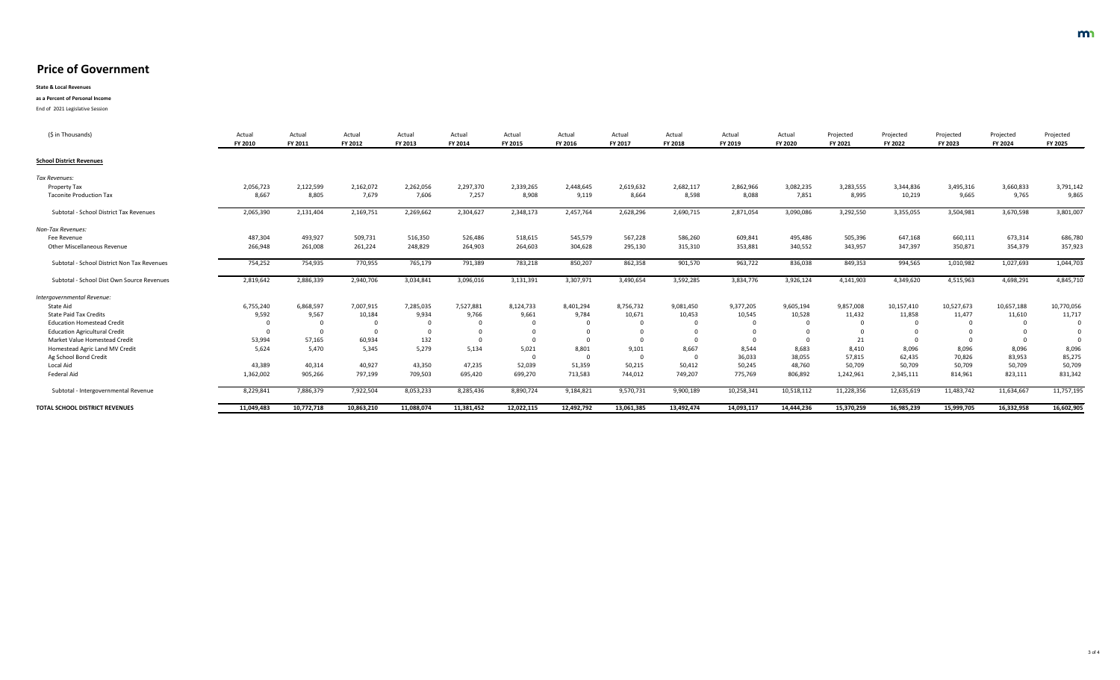**State & Local Revenues**

#### **as a Percent of Personal Income**

| (\$ in Thousands)                              | Actua<br><b>FY 2010</b> | Actual<br><b>FY 2011</b> | Actual<br><b>FY 2012</b> | Actual<br>FY 2013 | Actual<br>FY 2014 | Actual<br><b>FY 2015</b> | Actual<br><b>FY 2016</b> | Actual<br><b>FY 2017</b> | Actual<br><b>FY 2018</b> | Actual<br>FY 2019 | Actual<br><b>FY 2020</b> | Projected<br><b>FY 2021</b> | Projected<br><b>FY 2022</b> | Projected<br><b>FY 2023</b> | Projected<br><b>FY 2024</b> | Projected<br><b>FY 2025</b> |
|------------------------------------------------|-------------------------|--------------------------|--------------------------|-------------------|-------------------|--------------------------|--------------------------|--------------------------|--------------------------|-------------------|--------------------------|-----------------------------|-----------------------------|-----------------------------|-----------------------------|-----------------------------|
| <b>School District Revenues</b>                |                         |                          |                          |                   |                   |                          |                          |                          |                          |                   |                          |                             |                             |                             |                             |                             |
| Tax Revenues:                                  |                         |                          |                          |                   |                   |                          |                          |                          |                          |                   |                          |                             |                             |                             |                             |                             |
| Property Tax                                   | 2,056,723               | 2,122,599                | 2,162,072                | 2,262,056         | 2,297,370         | 2,339,265                | 2,448,645                | 2,619,632                | 2,682,117                | 2,862,966         | 3,082,235                | 3,283,555                   | 3,344,836                   | 3,495,316                   | 3,660,833                   | 3,791,142                   |
| <b>Taconite Production Tax</b>                 | 8,667                   | 8,805                    | 7,679                    | 7,606             | 7,257             | 8,908                    | 9,119                    | 8,664                    | 8,598                    | 8,088             | 7,851                    | 8,995                       | 10,219                      | 9,665                       | 9,765                       | 9,865                       |
| <b>Subtotal - School District Tax Revenues</b> | 2,065,390               | 2,131,404                | 2,169,751                | 2,269,662         | 2,304,627         | 2,348,173                | 2,457,764                | 2,628,296                | 2,690,715                | 2,871,054         | 3,090,086                | 3,292,550                   | 3,355,055                   | 3,504,981                   | 3,670,598                   | 3,801,007                   |
| Non-Tax Revenues:                              |                         |                          |                          |                   |                   |                          |                          |                          |                          |                   |                          |                             |                             |                             |                             |                             |
| Fee Revenue                                    | 487,304                 | 493,927                  | 509,731                  | 516,350           | 526,486           | 518,615                  | 545,579                  | 567,228                  | 586,260                  | 609,841           | 495,486                  | 505,396                     | 647,168                     | 660,111                     | 673,314                     | 686,780                     |
| <b>Other Miscellaneous Revenue</b>             | 266,948                 | 261,008                  | 261,224                  | 248,829           | 264,903           | 264,603                  | 304,628                  | 295,130                  | 315,310                  | 353,881           | 340,552                  | 343,957                     | 347,397                     | 350,871                     | 354,379                     | 357,923                     |
| Subtotal - School District Non Tax Revenues    | 754,252                 | 754,935                  | 770,955                  | 765,179           | 791,389           | 783,218                  | 850,207                  | 862,358                  | 901,570                  | 963,722           | 836,038                  | 849,353                     | 994,565                     | 1,010,982                   | 1,027,693                   | 1,044,703                   |
| Subtotal - School Dist Own Source Revenues     | 2,819,642               | 2,886,339                | 2,940,706                | 3,034,841         | 3,096,016         | 3,131,391                | 3,307,971                | 3,490,654                | 3,592,285                | 3,834,776         | 3,926,124                | 4,141,903                   | 4,349,620                   | 4,515,963                   | 4,698,291                   | 4,845,710                   |
| Intergovernmental Revenue:                     |                         |                          |                          |                   |                   |                          |                          |                          |                          |                   |                          |                             |                             |                             |                             |                             |
| State Aid                                      | 6,755,240               | 6,868,597                | 7,007,915                | 7,285,035         | 7,527,881         | 8,124,733                | 8,401,294                | 8,756,732                | 9,081,450                | 9,377,205         | 9,605,194                | 9,857,008                   | 10,157,410                  | 10,527,673                  | 10,657,188                  | 10,770,056                  |
| <b>State Paid Tax Credits</b>                  | 9,592                   | 9,567                    | 10,184                   | 9,934             | 9,766             | 9,661                    | 9,784                    | 10,671                   | 10,453                   | 10,545            | 10,528                   | 11,432                      | 11,858                      | 11,477                      | 11,610                      | 11,717                      |
| <b>Education Homestead Credit</b>              |                         | $\mathbf 0$              | $\mathbf 0$              |                   |                   | $\mathbf 0$              |                          |                          |                          |                   |                          |                             |                             |                             |                             |                             |
| <b>Education Agricultural Credit</b>           |                         | $\Omega$                 |                          |                   |                   |                          |                          |                          |                          |                   |                          |                             |                             |                             |                             |                             |
| Market Value Homestead Credit                  | 53,994                  | 57,165                   | 60,934                   | 132               |                   |                          |                          |                          |                          |                   |                          |                             |                             |                             |                             |                             |
| Homestead Agric Land MV Credit                 | 5,624                   | 5,470                    | 5,345                    | 5,279             | 5,134             | 5,021                    | 8,801                    | 9,101                    | 8,667                    | 8,544             | 8,683                    | 8,410                       | 8,096                       | 8,096                       | 8,096                       | 8,096                       |
| Ag School Bond Credit                          |                         |                          |                          |                   |                   |                          |                          |                          |                          | 36,033            | 38,055                   | 57,815                      | 62,435                      | 70,826                      | 83,953                      | 85,275                      |
| Local Aid                                      | 43,389                  | 40,314                   | 40,927                   | 43,350            | 47,235            | 52,039                   | 51,359                   | 50,215                   | 50,412                   | 50,245            | 48,760                   | 50,709                      | 50,709                      | 50,709                      | 50,709                      | 50,709                      |
| Federal Aid                                    | 1,362,002               | 905,266                  | 797,199                  | 709,503           | 695,420           | 699,270                  | 713,583                  | 744,012                  | 749,207                  | 775,769           | 806,892                  | 1,242,961                   | 2,345,111                   | 814,961                     | 823,111                     | 831,342                     |
| Subtotal - Intergovernmental Revenue           | 8,229,841               | 7,886,379                | 7,922,504                | 8,053,233         | 8,285,436         | 8,890,724                | 9,184,821                | 9,570,731                | 9,900,189                | 10,258,341        | 10,518,112               | 11,228,356                  | 12,635,619                  | 11,483,742                  | 11,634,667                  | 11,757,195                  |
| <b>TOTAL SCHOOL DISTRICT REVENUES</b>          | 11,049,483              | 10,772,718               | 10,863,210               | 11,088,074        | 11,381,452        | 12,022,115               | 12,492,792               | 13,061,385               | 13,492,474               | 14,093,117        | 14,444,236               | 15,370,259                  | 16,985,239                  | 15,999,705                  | 16,332,958                  | 16,602,905                  |